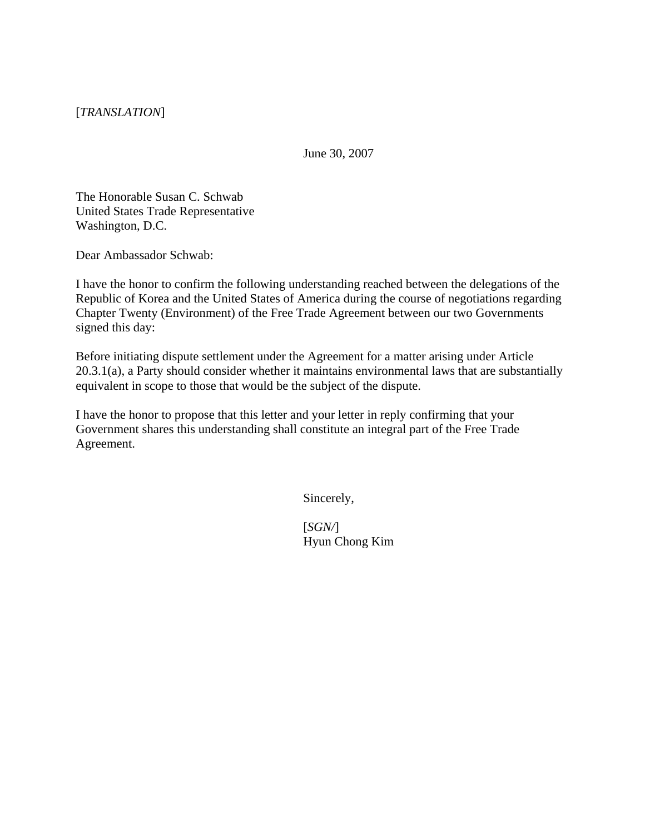[*TRANSLATION*]

June 30, 2007

The Honorable Susan C. Schwab United States Trade Representative Washington, D.C.

Dear Ambassador Schwab:

I have the honor to confirm the following understanding reached between the delegations of the Republic of Korea and the United States of America during the course of negotiations regarding Chapter Twenty (Environment) of the Free Trade Agreement between our two Governments signed this day:

Before initiating dispute settlement under the Agreement for a matter arising under Article 20.3.1(a), a Party should consider whether it maintains environmental laws that are substantially equivalent in scope to those that would be the subject of the dispute.

I have the honor to propose that this letter and your letter in reply confirming that your Government shares this understanding shall constitute an integral part of the Free Trade Agreement.

Sincerely,

[*SGN/*] Hyun Chong Kim